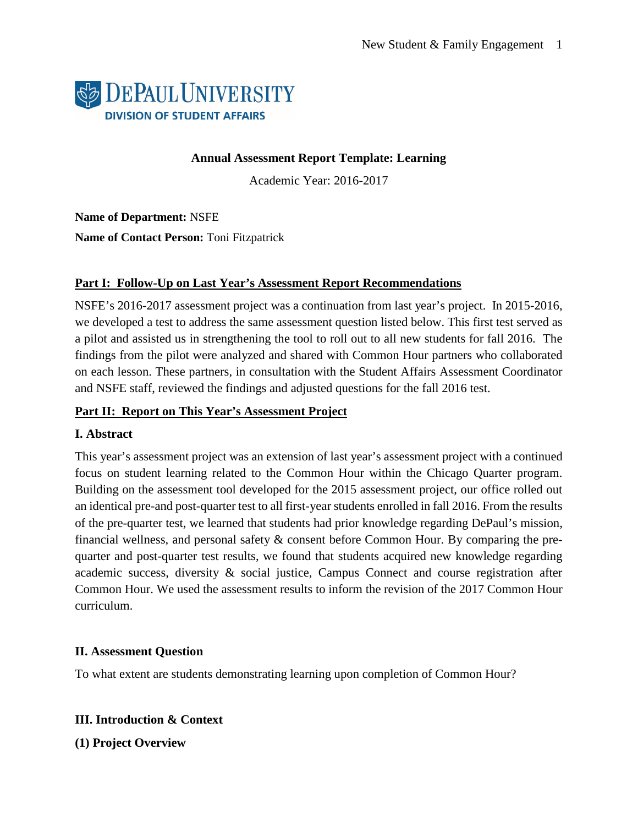

## **Annual Assessment Report Template: Learning**

Academic Year: 2016-2017

**Name of Department:** NSFE **Name of Contact Person:** Toni Fitzpatrick

## **Part I: Follow-Up on Last Year's Assessment Report Recommendations**

NSFE's 2016-2017 assessment project was a continuation from last year's project. In 2015-2016, we developed a test to address the same assessment question listed below. This first test served as a pilot and assisted us in strengthening the tool to roll out to all new students for fall 2016. The findings from the pilot were analyzed and shared with Common Hour partners who collaborated on each lesson. These partners, in consultation with the Student Affairs Assessment Coordinator and NSFE staff, reviewed the findings and adjusted questions for the fall 2016 test.

### **Part II: Report on This Year's Assessment Project**

### **I. Abstract**

This year's assessment project was an extension of last year's assessment project with a continued focus on student learning related to the Common Hour within the Chicago Quarter program. Building on the assessment tool developed for the 2015 assessment project, our office rolled out an identical pre-and post-quarter test to all first-year students enrolled in fall 2016. From the results of the pre-quarter test, we learned that students had prior knowledge regarding DePaul's mission, financial wellness, and personal safety & consent before Common Hour. By comparing the prequarter and post-quarter test results, we found that students acquired new knowledge regarding academic success, diversity & social justice, Campus Connect and course registration after Common Hour. We used the assessment results to inform the revision of the 2017 Common Hour curriculum.

# **II. Assessment Question**

To what extent are students demonstrating learning upon completion of Common Hour?

# **III. Introduction & Context**

### **(1) Project Overview**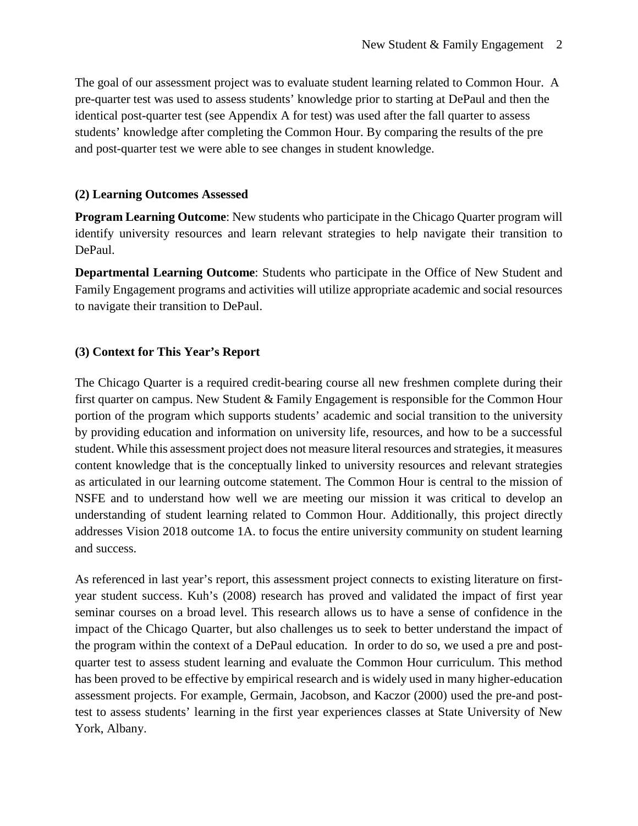The goal of our assessment project was to evaluate student learning related to Common Hour. A pre-quarter test was used to assess students' knowledge prior to starting at DePaul and then the identical post-quarter test (see Appendix A for test) was used after the fall quarter to assess students' knowledge after completing the Common Hour. By comparing the results of the pre and post-quarter test we were able to see changes in student knowledge.

# **(2) Learning Outcomes Assessed**

**Program Learning Outcome:** New students who participate in the Chicago Quarter program will identify university resources and learn relevant strategies to help navigate their transition to DePaul.

**Departmental Learning Outcome**: Students who participate in the Office of New Student and Family Engagement programs and activities will utilize appropriate academic and social resources to navigate their transition to DePaul.

# **(3) Context for This Year's Report**

The Chicago Quarter is a required credit-bearing course all new freshmen complete during their first quarter on campus. New Student & Family Engagement is responsible for the Common Hour portion of the program which supports students' academic and social transition to the university by providing education and information on university life, resources, and how to be a successful student. While this assessment project does not measure literal resources and strategies, it measures content knowledge that is the conceptually linked to university resources and relevant strategies as articulated in our learning outcome statement. The Common Hour is central to the mission of NSFE and to understand how well we are meeting our mission it was critical to develop an understanding of student learning related to Common Hour. Additionally, this project directly addresses Vision 2018 outcome 1A. to focus the entire university community on student learning and success.

As referenced in last year's report, this assessment project connects to existing literature on firstyear student success. Kuh's (2008) research has proved and validated the impact of first year seminar courses on a broad level. This research allows us to have a sense of confidence in the impact of the Chicago Quarter, but also challenges us to seek to better understand the impact of the program within the context of a DePaul education. In order to do so, we used a pre and postquarter test to assess student learning and evaluate the Common Hour curriculum. This method has been proved to be effective by empirical research and is widely used in many higher-education assessment projects. For example, Germain, Jacobson, and Kaczor (2000) used the pre-and posttest to assess students' learning in the first year experiences classes at State University of New York, Albany.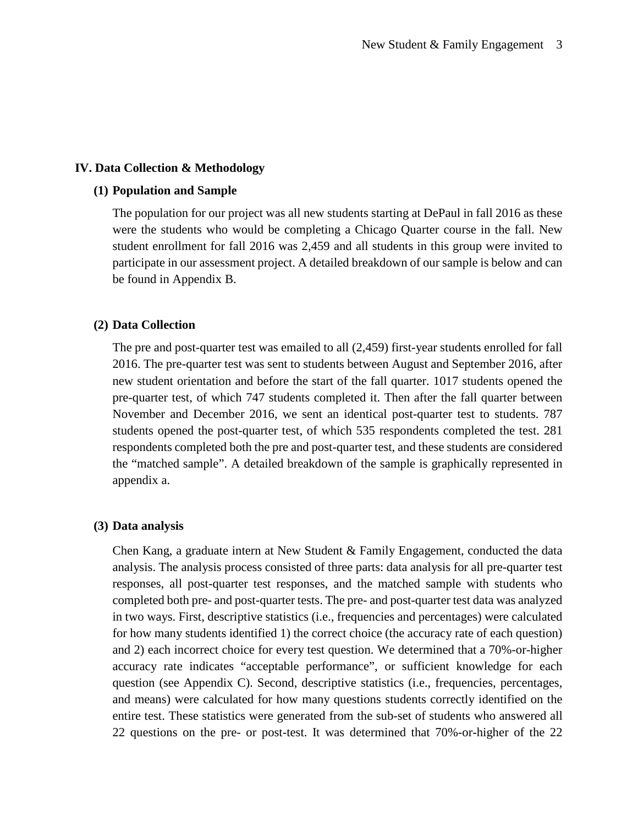#### **IV. Data Collection & Methodology**

#### **(1) Population and Sample**

The population for our project was all new students starting at DePaul in fall 2016 as these were the students who would be completing a Chicago Quarter course in the fall. New student enrollment for fall 2016 was 2,459 and all students in this group were invited to participate in our assessment project. A detailed breakdown of our sample is below and can be found in Appendix B.

#### **(2) Data Collection**

The pre and post-quarter test was emailed to all (2,459) first-year students enrolled for fall 2016. The pre-quarter test was sent to students between August and September 2016, after new student orientation and before the start of the fall quarter. 1017 students opened the pre-quarter test, of which 747 students completed it. Then after the fall quarter between November and December 2016, we sent an identical post-quarter test to students. 787 students opened the post-quarter test, of which 535 respondents completed the test. 281 respondents completed both the pre and post-quarter test, and these students are considered the "matched sample". A detailed breakdown of the sample is graphically represented in appendix a.

#### **(3) Data analysis**

Chen Kang, a graduate intern at New Student & Family Engagement, conducted the data analysis. The analysis process consisted of three parts: data analysis for all pre-quarter test responses, all post-quarter test responses, and the matched sample with students who completed both pre- and post-quarter tests. The pre- and post-quarter test data was analyzed in two ways. First, descriptive statistics (i.e., frequencies and percentages) were calculated for how many students identified 1) the correct choice (the accuracy rate of each question) and 2) each incorrect choice for every test question. We determined that a 70%-or-higher accuracy rate indicates "acceptable performance", or sufficient knowledge for each question (see Appendix C). Second, descriptive statistics (i.e., frequencies, percentages, and means) were calculated for how many questions students correctly identified on the entire test. These statistics were generated from the sub-set of students who answered all 22 questions on the pre- or post-test. It was determined that 70%-or-higher of the 22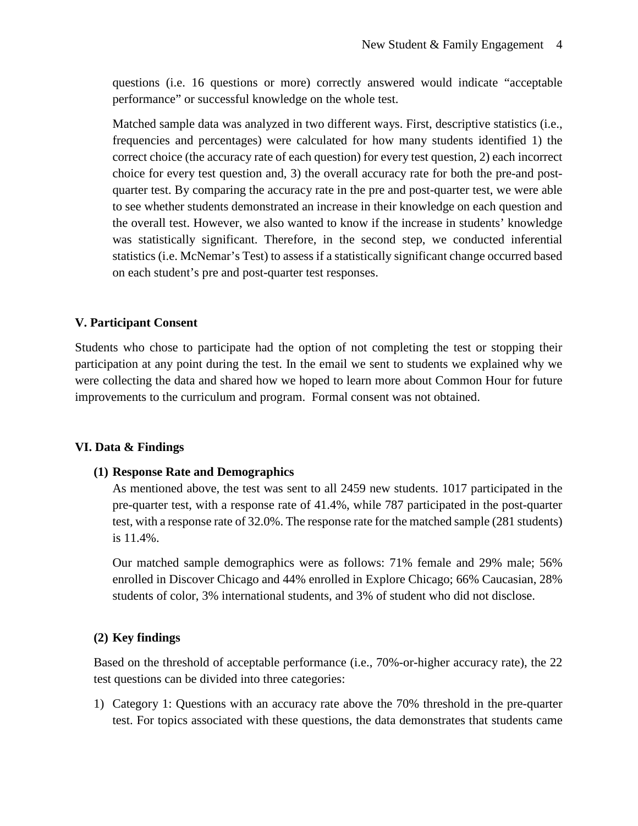questions (i.e. 16 questions or more) correctly answered would indicate "acceptable performance" or successful knowledge on the whole test.

Matched sample data was analyzed in two different ways. First, descriptive statistics (i.e., frequencies and percentages) were calculated for how many students identified 1) the correct choice (the accuracy rate of each question) for every test question, 2) each incorrect choice for every test question and, 3) the overall accuracy rate for both the pre-and postquarter test. By comparing the accuracy rate in the pre and post-quarter test, we were able to see whether students demonstrated an increase in their knowledge on each question and the overall test. However, we also wanted to know if the increase in students' knowledge was statistically significant. Therefore, in the second step, we conducted inferential statistics (i.e. McNemar's Test) to assess if a statistically significant change occurred based on each student's pre and post-quarter test responses.

## **V. Participant Consent**

Students who chose to participate had the option of not completing the test or stopping their participation at any point during the test. In the email we sent to students we explained why we were collecting the data and shared how we hoped to learn more about Common Hour for future improvements to the curriculum and program. Formal consent was not obtained.

# **VI. Data & Findings**

### **(1) Response Rate and Demographics**

As mentioned above, the test was sent to all 2459 new students. 1017 participated in the pre-quarter test, with a response rate of 41.4%, while 787 participated in the post-quarter test, with a response rate of 32.0%. The response rate for the matched sample (281 students) is 11.4%.

Our matched sample demographics were as follows: 71% female and 29% male; 56% enrolled in Discover Chicago and 44% enrolled in Explore Chicago; 66% Caucasian, 28% students of color, 3% international students, and 3% of student who did not disclose.

# **(2) Key findings**

Based on the threshold of acceptable performance (i.e., 70%-or-higher accuracy rate), the 22 test questions can be divided into three categories:

1) Category 1: Questions with an accuracy rate above the 70% threshold in the pre-quarter test. For topics associated with these questions, the data demonstrates that students came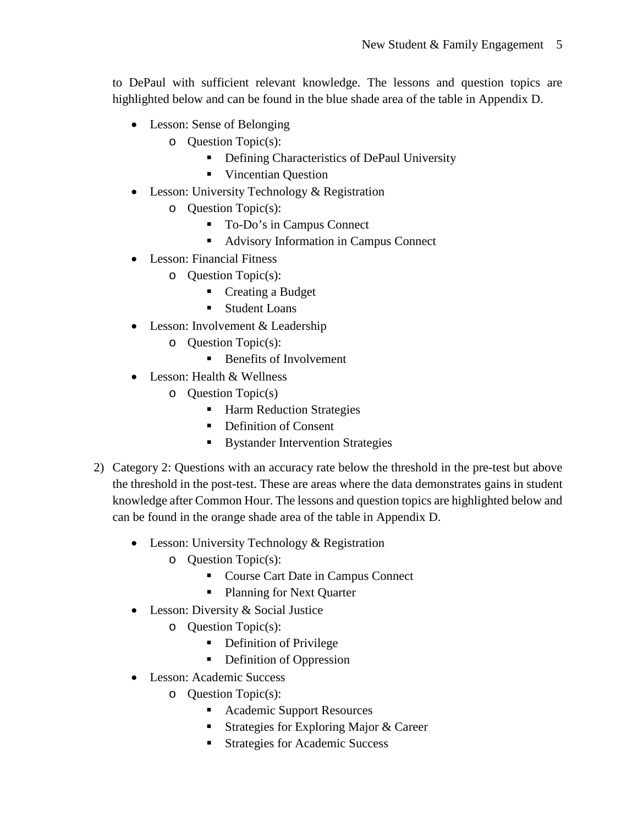to DePaul with sufficient relevant knowledge. The lessons and question topics are highlighted below and can be found in the blue shade area of the table in Appendix D.

- Lesson: Sense of Belonging
	- o Question Topic(s):
		- **•** Defining Characteristics of DePaul University
		- **Vincentian Question**
- Lesson: University Technology & Registration
	- o Question Topic(s):
		- To-Do's in Campus Connect
		- Advisory Information in Campus Connect
- Lesson: Financial Fitness
	- o Question Topic(s):
		- Creating a Budget
		- **Student Loans**
- Lesson: Involvement & Leadership
	- o Question Topic(s):
		- $\blacksquare$  Benefits of Involvement
- Lesson: Health & Wellness
	- o Question Topic(s)
		- Harm Reduction Strategies
		- **•** Definition of Consent
		- Bystander Intervention Strategies
- 2) Category 2: Questions with an accuracy rate below the threshold in the pre-test but above the threshold in the post-test. These are areas where the data demonstrates gains in student knowledge after Common Hour. The lessons and question topics are highlighted below and can be found in the orange shade area of the table in Appendix D.
	- Lesson: University Technology & Registration
		- o Question Topic(s):
			- Course Cart Date in Campus Connect
			- Planning for Next Quarter
	- Lesson: Diversity & Social Justice
		- o Question Topic(s):
			- Definition of Privilege
			- Definition of Oppression
	- Lesson: Academic Success
		- o Question Topic(s):
			- Academic Support Resources
			- Strategies for Exploring Major & Career
			- **Strategies for Academic Success**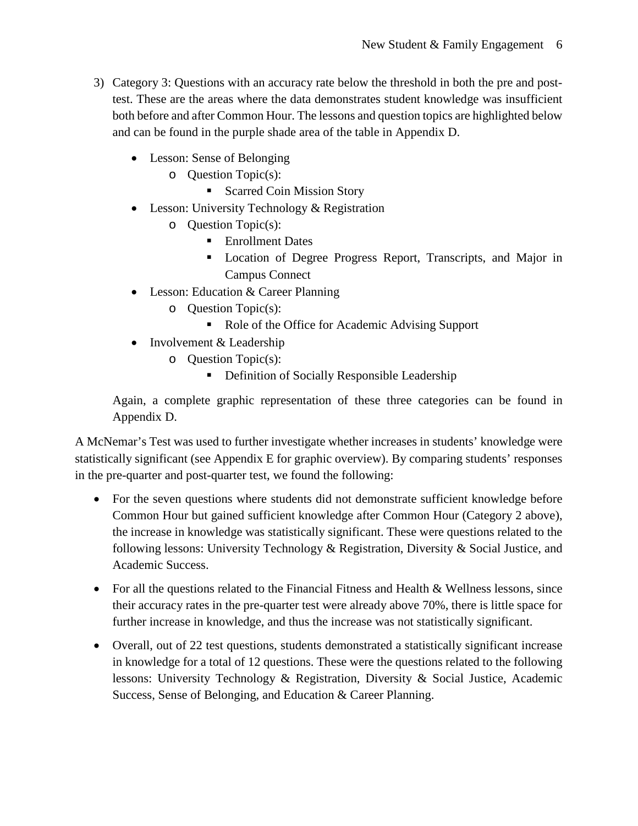- 3) Category 3: Questions with an accuracy rate below the threshold in both the pre and posttest. These are the areas where the data demonstrates student knowledge was insufficient both before and after Common Hour. The lessons and question topics are highlighted below and can be found in the purple shade area of the table in Appendix D.
	- Lesson: Sense of Belonging
		- o Question Topic(s):
			- Scarred Coin Mission Story
	- Lesson: University Technology & Registration
		- o Question Topic(s):
			- Enrollment Dates
			- **Location of Degree Progress Report, Transcripts, and Major in** Campus Connect
	- Lesson: Education & Career Planning
		- o Question Topic(s):
			- Role of the Office for Academic Advising Support
	- Involvement & Leadership
		- o Question Topic(s):
			- **•** Definition of Socially Responsible Leadership

Again, a complete graphic representation of these three categories can be found in Appendix D.

A McNemar's Test was used to further investigate whether increases in students' knowledge were statistically significant (see Appendix E for graphic overview). By comparing students' responses in the pre-quarter and post-quarter test, we found the following:

- For the seven questions where students did not demonstrate sufficient knowledge before Common Hour but gained sufficient knowledge after Common Hour (Category 2 above), the increase in knowledge was statistically significant. These were questions related to the following lessons: University Technology & Registration, Diversity & Social Justice, and Academic Success.
- For all the questions related to the Financial Fitness and Health  $&$  Wellness lessons, since their accuracy rates in the pre-quarter test were already above 70%, there is little space for further increase in knowledge, and thus the increase was not statistically significant.
- Overall, out of 22 test questions, students demonstrated a statistically significant increase in knowledge for a total of 12 questions. These were the questions related to the following lessons: University Technology & Registration, Diversity & Social Justice, Academic Success, Sense of Belonging, and Education & Career Planning.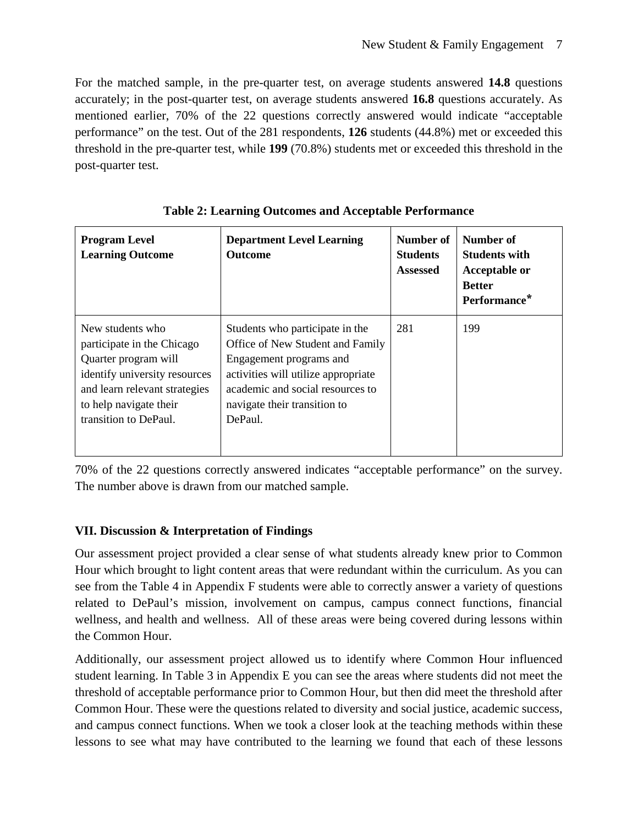For the matched sample, in the pre-quarter test, on average students answered **14.8** questions accurately; in the post-quarter test, on average students answered **16.8** questions accurately. As mentioned earlier, 70% of the 22 questions correctly answered would indicate "acceptable performance" on the test. Out of the 281 respondents, **126** students (44.8%) met or exceeded this threshold in the pre-quarter test, while **199** (70.8%) students met or exceeded this threshold in the post-quarter test.

| <b>Program Level</b><br><b>Learning Outcome</b>                                                                                                                                             | <b>Department Level Learning</b><br><b>Outcome</b>                                                                                                                                                                   | Number of<br><b>Students</b><br><b>Assessed</b> | Number of<br><b>Students with</b><br><b>Acceptable or</b><br><b>Better</b><br>Performance* |
|---------------------------------------------------------------------------------------------------------------------------------------------------------------------------------------------|----------------------------------------------------------------------------------------------------------------------------------------------------------------------------------------------------------------------|-------------------------------------------------|--------------------------------------------------------------------------------------------|
| New students who<br>participate in the Chicago<br>Quarter program will<br>identify university resources<br>and learn relevant strategies<br>to help navigate their<br>transition to DePaul. | Students who participate in the<br>Office of New Student and Family<br>Engagement programs and<br>activities will utilize appropriate<br>academic and social resources to<br>navigate their transition to<br>DePaul. | 281                                             | 199                                                                                        |

**Table 2: Learning Outcomes and Acceptable Performance**

70% of the 22 questions correctly answered indicates "acceptable performance" on the survey. The number above is drawn from our matched sample.

# **VII. Discussion & Interpretation of Findings**

Our assessment project provided a clear sense of what students already knew prior to Common Hour which brought to light content areas that were redundant within the curriculum. As you can see from the Table 4 in Appendix F students were able to correctly answer a variety of questions related to DePaul's mission, involvement on campus, campus connect functions, financial wellness, and health and wellness. All of these areas were being covered during lessons within the Common Hour.

Additionally, our assessment project allowed us to identify where Common Hour influenced student learning. In Table 3 in Appendix E you can see the areas where students did not meet the threshold of acceptable performance prior to Common Hour, but then did meet the threshold after Common Hour. These were the questions related to diversity and social justice, academic success, and campus connect functions. When we took a closer look at the teaching methods within these lessons to see what may have contributed to the learning we found that each of these lessons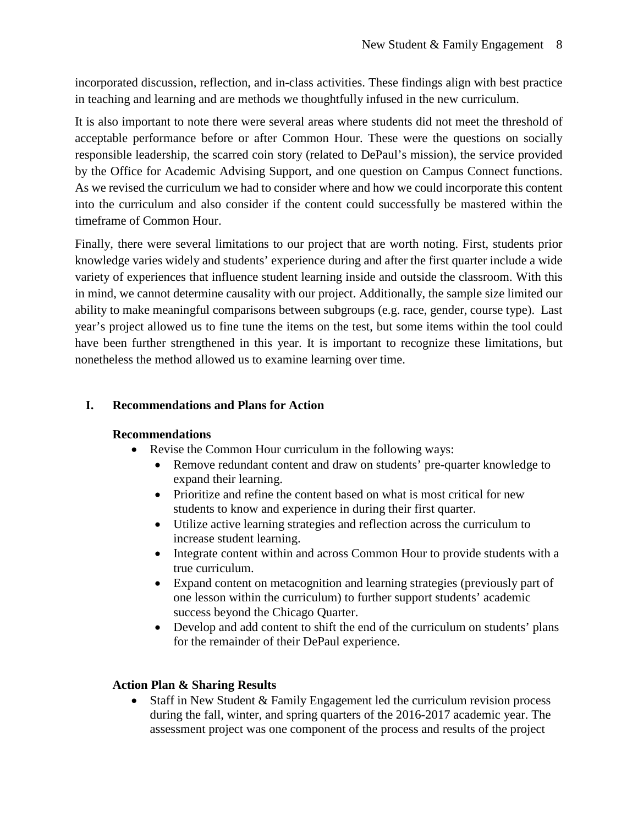incorporated discussion, reflection, and in-class activities. These findings align with best practice in teaching and learning and are methods we thoughtfully infused in the new curriculum.

It is also important to note there were several areas where students did not meet the threshold of acceptable performance before or after Common Hour. These were the questions on socially responsible leadership, the scarred coin story (related to DePaul's mission), the service provided by the Office for Academic Advising Support, and one question on Campus Connect functions. As we revised the curriculum we had to consider where and how we could incorporate this content into the curriculum and also consider if the content could successfully be mastered within the timeframe of Common Hour.

Finally, there were several limitations to our project that are worth noting. First, students prior knowledge varies widely and students' experience during and after the first quarter include a wide variety of experiences that influence student learning inside and outside the classroom. With this in mind, we cannot determine causality with our project. Additionally, the sample size limited our ability to make meaningful comparisons between subgroups (e.g. race, gender, course type). Last year's project allowed us to fine tune the items on the test, but some items within the tool could have been further strengthened in this year. It is important to recognize these limitations, but nonetheless the method allowed us to examine learning over time.

## **I. Recommendations and Plans for Action**

### **Recommendations**

- Revise the Common Hour curriculum in the following ways:
	- Remove redundant content and draw on students' pre-quarter knowledge to expand their learning.
	- Prioritize and refine the content based on what is most critical for new students to know and experience in during their first quarter.
	- Utilize active learning strategies and reflection across the curriculum to increase student learning.
	- Integrate content within and across Common Hour to provide students with a true curriculum.
	- Expand content on metacognition and learning strategies (previously part of one lesson within the curriculum) to further support students' academic success beyond the Chicago Quarter.
	- Develop and add content to shift the end of the curriculum on students' plans for the remainder of their DePaul experience.

### **Action Plan & Sharing Results**

• Staff in New Student & Family Engagement led the curriculum revision process during the fall, winter, and spring quarters of the 2016-2017 academic year. The assessment project was one component of the process and results of the project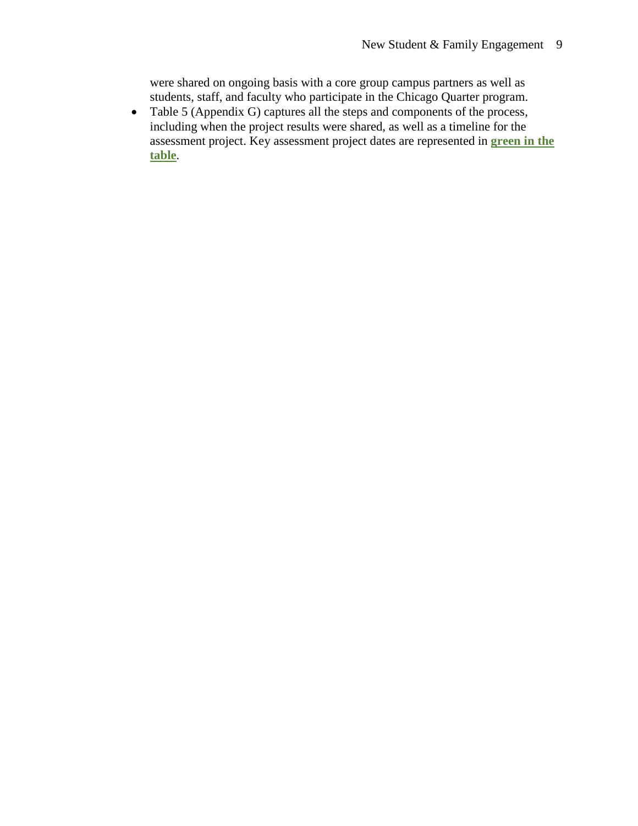were shared on ongoing basis with a core group campus partners as well as students, staff, and faculty who participate in the Chicago Quarter program.

• Table 5 (Appendix G) captures all the steps and components of the process, including when the project results were shared, as well as a timeline for the assessment project. Key assessment project dates are represented in **green in the table**.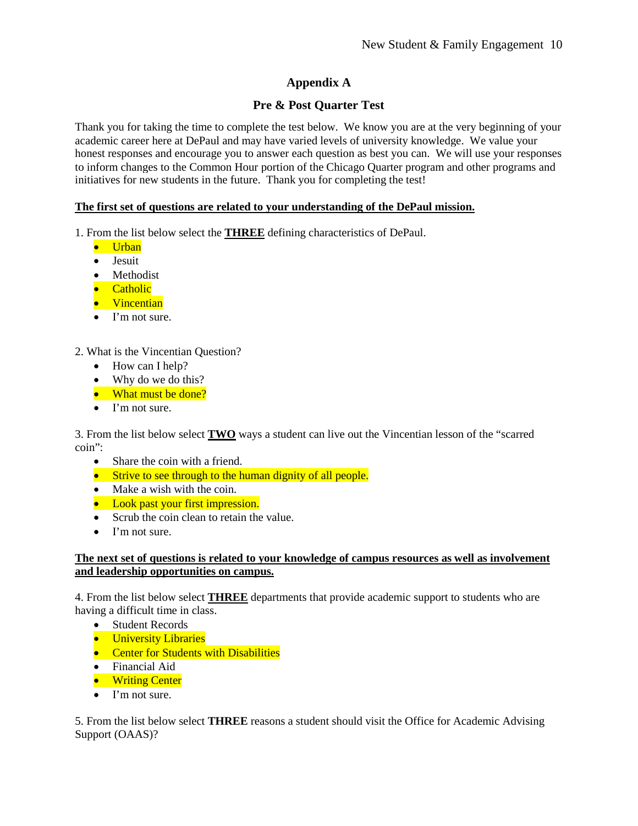# **Appendix A**

# **Pre & Post Quarter Test**

Thank you for taking the time to complete the test below. We know you are at the very beginning of your academic career here at DePaul and may have varied levels of university knowledge. We value your honest responses and encourage you to answer each question as best you can. We will use your responses to inform changes to the Common Hour portion of the Chicago Quarter program and other programs and initiatives for new students in the future. Thank you for completing the test!

### **The first set of questions are related to your understanding of the DePaul mission.**

- 1. From the list below select the **THREE** defining characteristics of DePaul.
	- Urban
	- Jesuit
	- Methodist
	- Catholic
	- Vincentian
	- I'm not sure.

#### 2. What is the Vincentian Question?

- How can I help?
- Why do we do this?
- What must be done?
- I'm not sure.

3. From the list below select **TWO** ways a student can live out the Vincentian lesson of the "scarred coin":

- Share the coin with a friend.
- Strive to see through to the human dignity of all people.
- Make a wish with the coin.
- Look past your first impression.
- Scrub the coin clean to retain the value.
- I'm not sure.

#### **The next set of questions is related to your knowledge of campus resources as well as involvement and leadership opportunities on campus.**

4. From the list below select **THREE** departments that provide academic support to students who are having a difficult time in class.

- Student Records
- University Libraries
- **•** Center for Students with Disabilities
- Financial Aid
- Writing Center
- I'm not sure.

5. From the list below select **THREE** reasons a student should visit the Office for Academic Advising Support (OAAS)?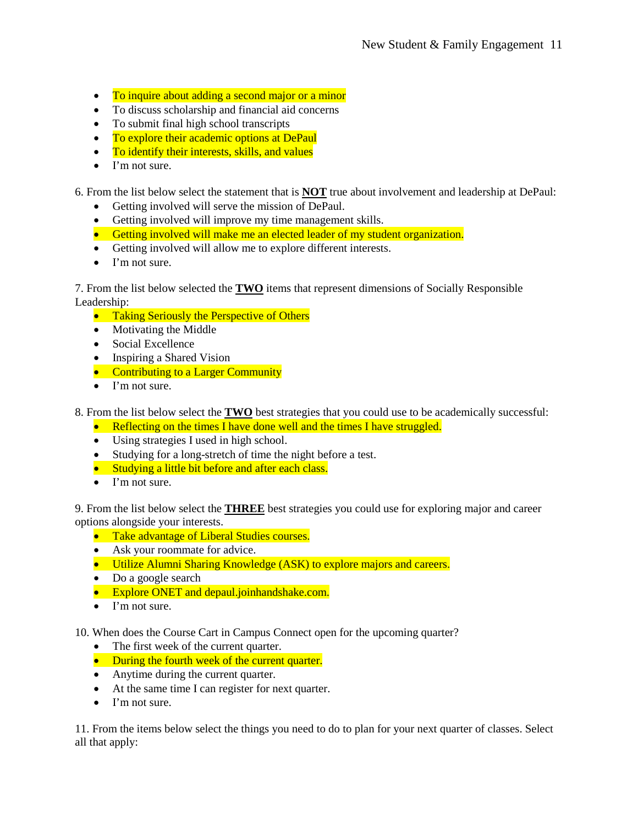- To inquire about adding a second major or a minor
- To discuss scholarship and financial aid concerns
- To submit final high school transcripts
- To explore their academic options at DePaul
- To identify their interests, skills, and values
- I'm not sure.

6. From the list below select the statement that is **NOT** true about involvement and leadership at DePaul:

- Getting involved will serve the mission of DePaul.
- Getting involved will improve my time management skills.
- Getting involved will make me an elected leader of my student organization.
- Getting involved will allow me to explore different interests.
- I'm not sure.

7. From the list below selected the **TWO** items that represent dimensions of Socially Responsible Leadership:

- Taking Seriously the Perspective of Others
- Motivating the Middle
- Social Excellence
- Inspiring a Shared Vision
- Contributing to a Larger Community
- $\overline{\cdot \cdot \cdot}$  I'm not sure.

8. From the list below select the **TWO** best strategies that you could use to be academically successful:

- Reflecting on the times I have done well and the times I have struggled.
- Using strategies I used in high school.
- Studying for a long-stretch of time the night before a test.
- Studying a little bit before and after each class.
- I'm not sure.

9. From the list below select the **THREE** best strategies you could use for exploring major and career options alongside your interests.

- Take advantage of Liberal Studies courses.
- Ask your roommate for advice.
- Utilize Alumni Sharing Knowledge (ASK) to explore majors and careers.
- Do a google search
- Explore ONET and depaul.joinhandshake.com.
- I'm not sure.

10. When does the Course Cart in Campus Connect open for the upcoming quarter?

- The first week of the current quarter.
- During the fourth week of the current quarter.
- Anytime during the current quarter.
- At the same time I can register for next quarter.
- I'm not sure.

11. From the items below select the things you need to do to plan for your next quarter of classes. Select all that apply: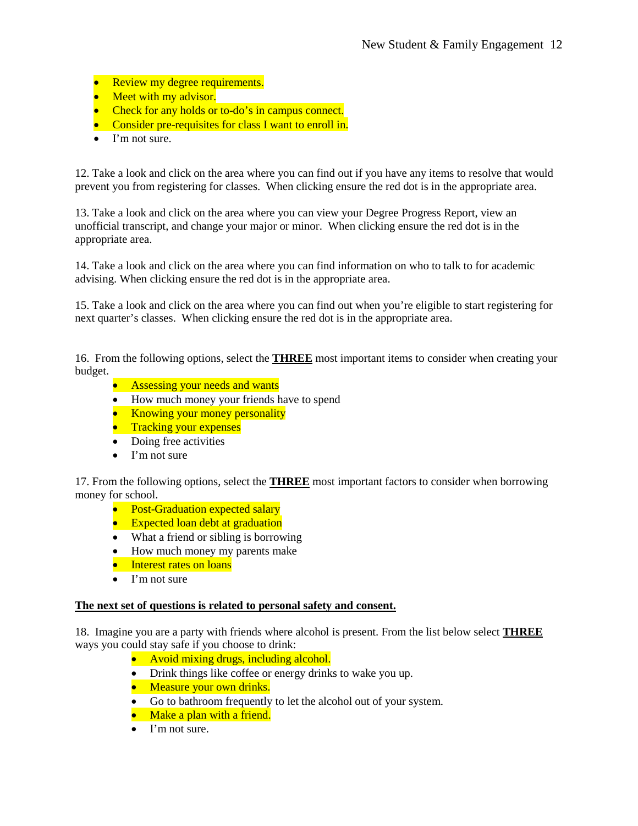- Review my degree requirements.
- Meet with my advisor.
- Check for any holds or to-do's in campus connect.
- Consider pre-requisites for class I want to enroll in.
- I'm not sure.

12. Take a look and click on the area where you can find out if you have any items to resolve that would prevent you from registering for classes. When clicking ensure the red dot is in the appropriate area.

13. Take a look and click on the area where you can view your Degree Progress Report, view an unofficial transcript, and change your major or minor. When clicking ensure the red dot is in the appropriate area.

14. Take a look and click on the area where you can find information on who to talk to for academic advising. When clicking ensure the red dot is in the appropriate area.

15. Take a look and click on the area where you can find out when you're eligible to start registering for next quarter's classes. When clicking ensure the red dot is in the appropriate area.

16. From the following options, select the **THREE** most important items to consider when creating your budget.

- Assessing your needs and wants
- How much money your friends have to spend
- Knowing your money personality
- **•** Tracking your expenses
- Doing free activities
- I'm not sure

17. From the following options, select the **THREE** most important factors to consider when borrowing money for school.

- Post-Graduation expected salary
- **•** Expected loan debt at graduation
- What a friend or sibling is borrowing
- How much money my parents make
- Interest rates on loans
- I'm not sure

#### **The next set of questions is related to personal safety and consent.**

18. Imagine you are a party with friends where alcohol is present. From the list below select **THREE** ways you could stay safe if you choose to drink:

- Avoid mixing drugs, including alcohol.
- Drink things like coffee or energy drinks to wake you up.
- Measure your own drinks.
- Go to bathroom frequently to let the alcohol out of your system.
- Make a plan with a friend.
- I'm not sure.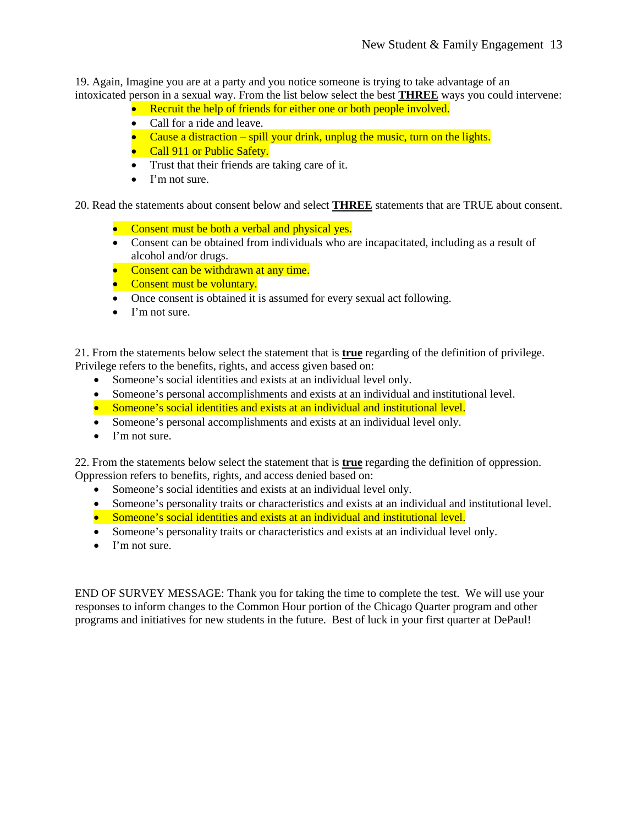19. Again, Imagine you are at a party and you notice someone is trying to take advantage of an intoxicated person in a sexual way. From the list below select the best **THREE** ways you could intervene:

- Recruit the help of friends for either one or both people involved.
- Call for a ride and leave.
- Cause a distraction spill your drink, unplug the music, turn on the lights.
- Call 911 or Public Safety.
- Trust that their friends are taking care of it.
- I'm not sure.

20. Read the statements about consent below and select **THREE** statements that are TRUE about consent.

- Consent must be both a verbal and physical yes.
- Consent can be obtained from individuals who are incapacitated, including as a result of alcohol and/or drugs.
- Consent can be withdrawn at any time.
- Consent must be voluntary.
- Once consent is obtained it is assumed for every sexual act following.
- I'm not sure.

21. From the statements below select the statement that is **true** regarding of the definition of privilege. Privilege refers to the benefits, rights, and access given based on:

- Someone's social identities and exists at an individual level only.
- Someone's personal accomplishments and exists at an individual and institutional level.
- Someone's social identities and exists at an individual and institutional level.
- Someone's personal accomplishments and exists at an individual level only.
- I'm not sure.

22. From the statements below select the statement that is **true** regarding the definition of oppression. Oppression refers to benefits, rights, and access denied based on:

- Someone's social identities and exists at an individual level only.
- Someone's personality traits or characteristics and exists at an individual and institutional level.
- Someone's social identities and exists at an individual and institutional level.
- Someone's personality traits or characteristics and exists at an individual level only.
- I'm not sure.

END OF SURVEY MESSAGE: Thank you for taking the time to complete the test. We will use your responses to inform changes to the Common Hour portion of the Chicago Quarter program and other programs and initiatives for new students in the future. Best of luck in your first quarter at DePaul!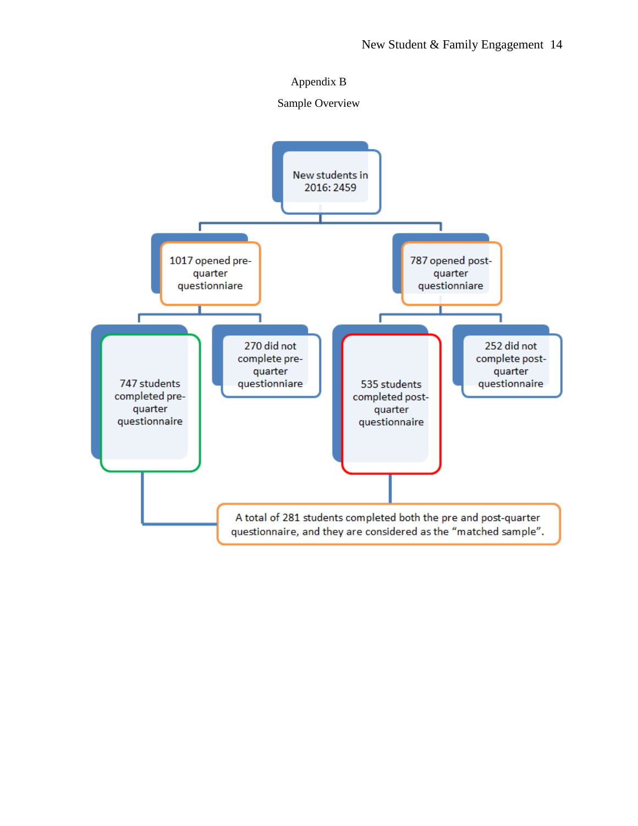## Appendix B

### Sample Overview

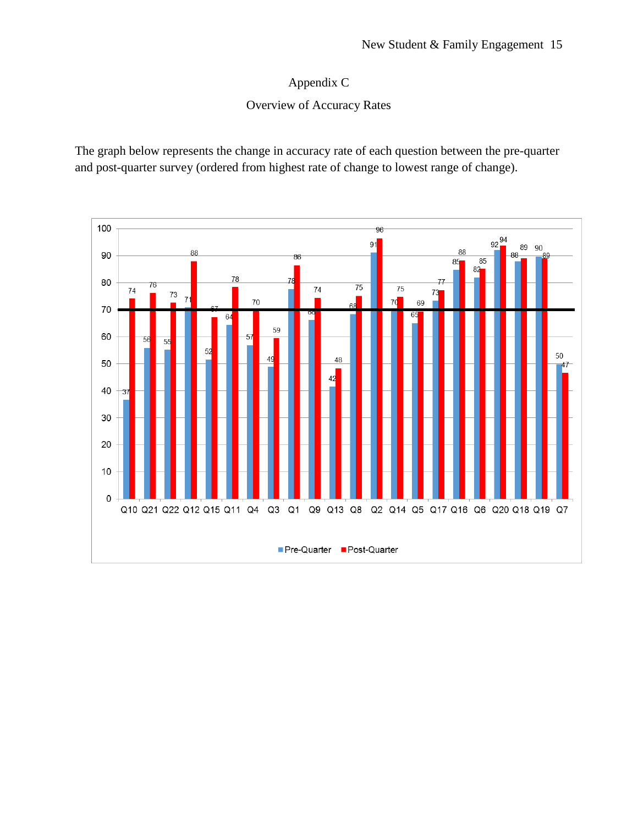# Appendix C

# Overview of Accuracy Rates

The graph below represents the change in accuracy rate of each question between the pre-quarter and post-quarter survey (ordered from highest rate of change to lowest range of change).

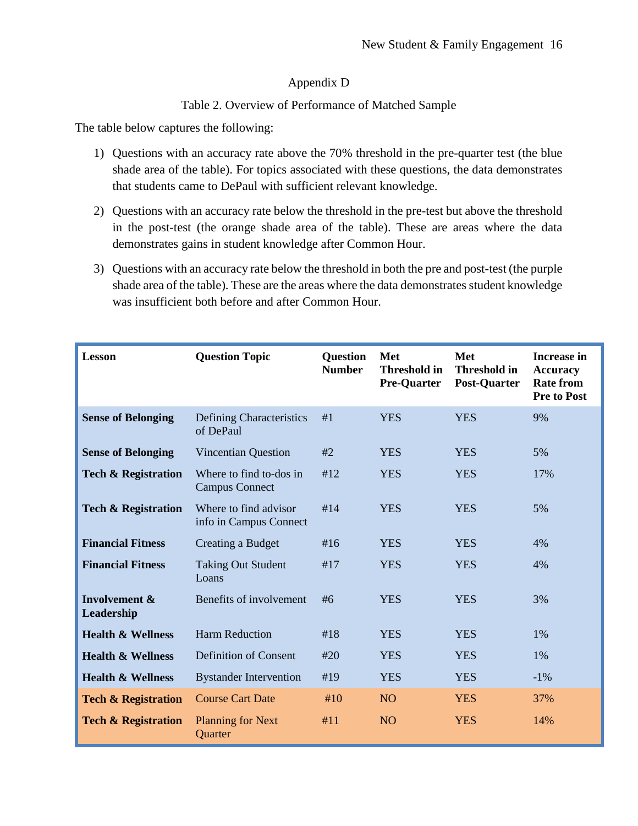# Appendix D

## Table 2. Overview of Performance of Matched Sample

The table below captures the following:

- 1) Questions with an accuracy rate above the 70% threshold in the pre-quarter test (the blue shade area of the table). For topics associated with these questions, the data demonstrates that students came to DePaul with sufficient relevant knowledge.
- 2) Questions with an accuracy rate below the threshold in the pre-test but above the threshold in the post-test (the orange shade area of the table). These are areas where the data demonstrates gains in student knowledge after Common Hour.
- 3) Questions with an accuracy rate below the threshold in both the pre and post-test (the purple shade area of the table). These are the areas where the data demonstrates student knowledge was insufficient both before and after Common Hour.

| <b>Lesson</b>                  | <b>Question Topic</b>                            | <b>Question</b><br><b>Number</b> | Met<br><b>Threshold in</b><br><b>Pre-Quarter</b> | Met<br><b>Threshold in</b><br><b>Post-Quarter</b> | <b>Increase in</b><br><b>Accuracy</b><br><b>Rate from</b><br><b>Pre to Post</b> |
|--------------------------------|--------------------------------------------------|----------------------------------|--------------------------------------------------|---------------------------------------------------|---------------------------------------------------------------------------------|
| <b>Sense of Belonging</b>      | Defining Characteristics<br>of DePaul            | #1                               | <b>YES</b>                                       | <b>YES</b>                                        | 9%                                                                              |
| <b>Sense of Belonging</b>      | <b>Vincentian Question</b>                       | #2                               | <b>YES</b>                                       | <b>YES</b>                                        | 5%                                                                              |
| <b>Tech &amp; Registration</b> | Where to find to-dos in<br><b>Campus Connect</b> | #12                              | <b>YES</b>                                       | <b>YES</b>                                        | 17%                                                                             |
| <b>Tech &amp; Registration</b> | Where to find advisor<br>info in Campus Connect  | #14                              | <b>YES</b>                                       | <b>YES</b>                                        | 5%                                                                              |
| <b>Financial Fitness</b>       | Creating a Budget                                | #16                              | <b>YES</b>                                       | <b>YES</b>                                        | 4%                                                                              |
| <b>Financial Fitness</b>       | <b>Taking Out Student</b><br>Loans               | #17                              | <b>YES</b>                                       | <b>YES</b>                                        | 4%                                                                              |
| Involvement &<br>Leadership    | Benefits of involvement                          | #6                               | <b>YES</b>                                       | <b>YES</b>                                        | 3%                                                                              |
| <b>Health &amp; Wellness</b>   | <b>Harm Reduction</b>                            | #18                              | <b>YES</b>                                       | <b>YES</b>                                        | 1%                                                                              |
| <b>Health &amp; Wellness</b>   | <b>Definition of Consent</b>                     | #20                              | <b>YES</b>                                       | <b>YES</b>                                        | 1%                                                                              |
| <b>Health &amp; Wellness</b>   | <b>Bystander Intervention</b>                    | #19                              | <b>YES</b>                                       | <b>YES</b>                                        | $-1\%$                                                                          |
| <b>Tech &amp; Registration</b> | <b>Course Cart Date</b>                          | #10                              | NO <sub>1</sub>                                  | <b>YES</b>                                        | 37%                                                                             |
| <b>Tech &amp; Registration</b> | <b>Planning for Next</b><br>Quarter              | #11                              | NO <sub>1</sub>                                  | <b>YES</b>                                        | 14%                                                                             |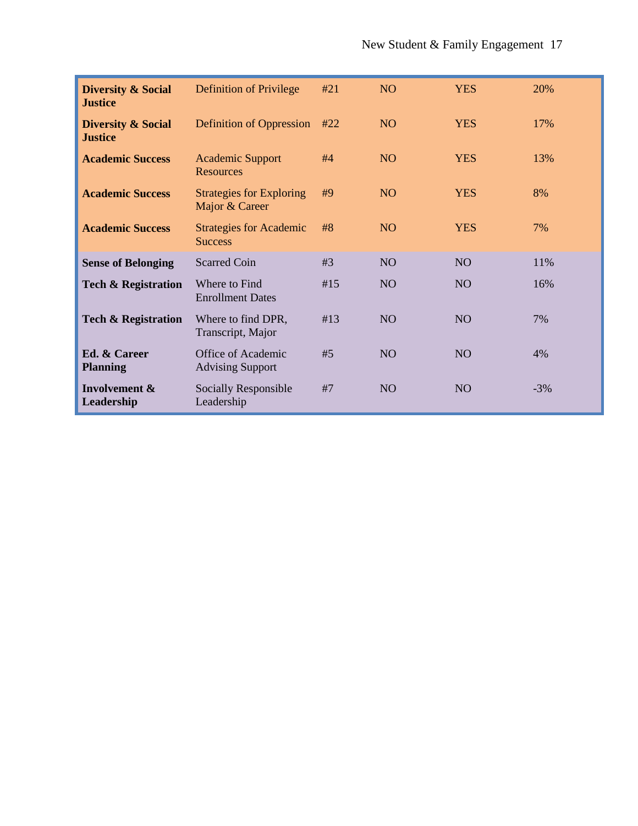| <b>Diversity &amp; Social</b><br><b>Justice</b> | Definition of Privilege                           | #21 | NO              | <b>YES</b>      | 20%   |
|-------------------------------------------------|---------------------------------------------------|-----|-----------------|-----------------|-------|
| <b>Diversity &amp; Social</b><br><b>Justice</b> | <b>Definition of Oppression</b>                   | #22 | NO              | <b>YES</b>      | 17%   |
| <b>Academic Success</b>                         | <b>Academic Support</b><br><b>Resources</b>       | #4  | NO              | <b>YES</b>      | 13%   |
| <b>Academic Success</b>                         | <b>Strategies for Exploring</b><br>Major & Career | #9  | NO              | <b>YES</b>      | 8%    |
| <b>Academic Success</b>                         | <b>Strategies for Academic</b><br><b>Success</b>  | #8  | NO              | <b>YES</b>      | 7%    |
| <b>Sense of Belonging</b>                       | <b>Scarred Coin</b>                               | #3  | NO <sub>1</sub> | NO <sub>1</sub> | 11%   |
| <b>Tech &amp; Registration</b>                  | Where to Find<br><b>Enrollment Dates</b>          | #15 | NO <sub>1</sub> | N <sub>O</sub>  | 16%   |
| <b>Tech &amp; Registration</b>                  | Where to find DPR,<br>Transcript, Major           | #13 | NO <sub>1</sub> | NO <sub>1</sub> | 7%    |
| Ed. & Career<br><b>Planning</b>                 | Office of Academic<br><b>Advising Support</b>     | #5  | NO              | NO <sub>1</sub> | 4%    |
| Involvement &<br>Leadership                     | Socially Responsible<br>Leadership                | #7  | NO <sub>1</sub> | NO <sub>1</sub> | $-3%$ |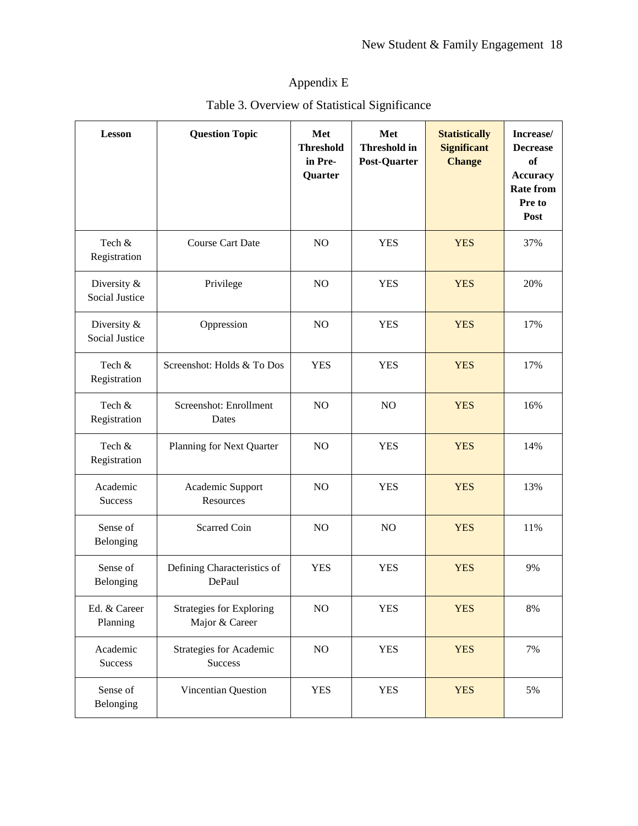# Appendix E

| <b>Lesson</b>                 | <b>Question Topic</b>                             | Met<br><b>Threshold</b><br>in Pre-<br>Quarter | Met<br><b>Threshold in</b><br>Post-Quarter | <b>Statistically</b><br><b>Significant</b><br><b>Change</b> | Increase/<br><b>Decrease</b><br>of<br><b>Accuracy</b><br><b>Rate from</b><br>Pre to<br>Post |
|-------------------------------|---------------------------------------------------|-----------------------------------------------|--------------------------------------------|-------------------------------------------------------------|---------------------------------------------------------------------------------------------|
| Tech &<br>Registration        | <b>Course Cart Date</b>                           | NO                                            | <b>YES</b>                                 | <b>YES</b>                                                  | 37%                                                                                         |
| Diversity &<br>Social Justice | Privilege                                         | NO                                            | <b>YES</b>                                 | <b>YES</b>                                                  | 20%                                                                                         |
| Diversity &<br>Social Justice | Oppression                                        | NO                                            | <b>YES</b>                                 | <b>YES</b>                                                  | 17%                                                                                         |
| Tech &<br>Registration        | Screenshot: Holds & To Dos                        | <b>YES</b>                                    | <b>YES</b>                                 | <b>YES</b>                                                  | 17%                                                                                         |
| Tech &<br>Registration        | Screenshot: Enrollment<br>Dates                   | NO                                            | NO                                         | <b>YES</b>                                                  | 16%                                                                                         |
| Tech &<br>Registration        | Planning for Next Quarter                         | NO                                            | <b>YES</b>                                 | <b>YES</b>                                                  | 14%                                                                                         |
| Academic<br>Success           | Academic Support<br>Resources                     | NO                                            | <b>YES</b>                                 | <b>YES</b>                                                  | 13%                                                                                         |
| Sense of<br>Belonging         | Scarred Coin                                      | NO                                            | NO                                         | <b>YES</b>                                                  | 11%                                                                                         |
| Sense of<br>Belonging         | Defining Characteristics of<br>DePaul             | <b>YES</b>                                    | <b>YES</b>                                 | <b>YES</b>                                                  | 9%                                                                                          |
| Ed. & Career<br>Planning      | <b>Strategies for Exploring</b><br>Major & Career | NO                                            | <b>YES</b>                                 | <b>YES</b>                                                  | 8%                                                                                          |
| Academic<br><b>Success</b>    | Strategies for Academic<br><b>Success</b>         | NO                                            | <b>YES</b>                                 | <b>YES</b>                                                  | 7%                                                                                          |
| Sense of<br>Belonging         | Vincentian Question                               | <b>YES</b>                                    | <b>YES</b>                                 | <b>YES</b>                                                  | 5%                                                                                          |

# Table 3. Overview of Statistical Significance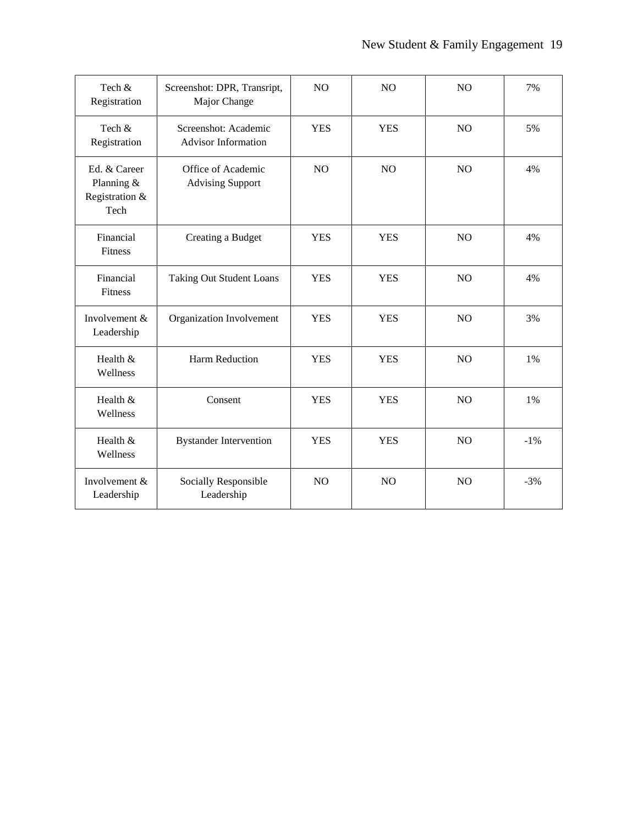| Tech &<br>Registration                               | Screenshot: DPR, Transript,<br>Major Change        | N <sub>O</sub> | NO             | NO             | 7%     |
|------------------------------------------------------|----------------------------------------------------|----------------|----------------|----------------|--------|
| Tech &<br>Registration                               | Screenshot: Academic<br><b>Advisor Information</b> | <b>YES</b>     | <b>YES</b>     | NO             | 5%     |
| Ed. & Career<br>Planning &<br>Registration &<br>Tech | Office of Academic<br><b>Advising Support</b>      | N <sub>O</sub> | N <sub>O</sub> | N <sub>O</sub> | 4%     |
| Financial<br>Fitness                                 | Creating a Budget                                  | <b>YES</b>     | <b>YES</b>     | NO             | 4%     |
| Financial<br>Fitness                                 | <b>Taking Out Student Loans</b>                    | <b>YES</b>     | <b>YES</b>     | N <sub>O</sub> | 4%     |
| Involvement &<br>Leadership                          | Organization Involvement                           | <b>YES</b>     | <b>YES</b>     | N <sub>O</sub> | 3%     |
| Health &<br>Wellness                                 | Harm Reduction                                     | <b>YES</b>     | <b>YES</b>     | N <sub>O</sub> | 1%     |
| Health &<br>Wellness                                 | Consent                                            | <b>YES</b>     | <b>YES</b>     | N <sub>O</sub> | 1%     |
| Health &<br>Wellness                                 | <b>Bystander Intervention</b>                      | <b>YES</b>     | <b>YES</b>     | N <sub>O</sub> | $-1\%$ |
| Involvement &<br>Leadership                          | Socially Responsible<br>Leadership                 | N <sub>O</sub> | N <sub>O</sub> | NO             | $-3%$  |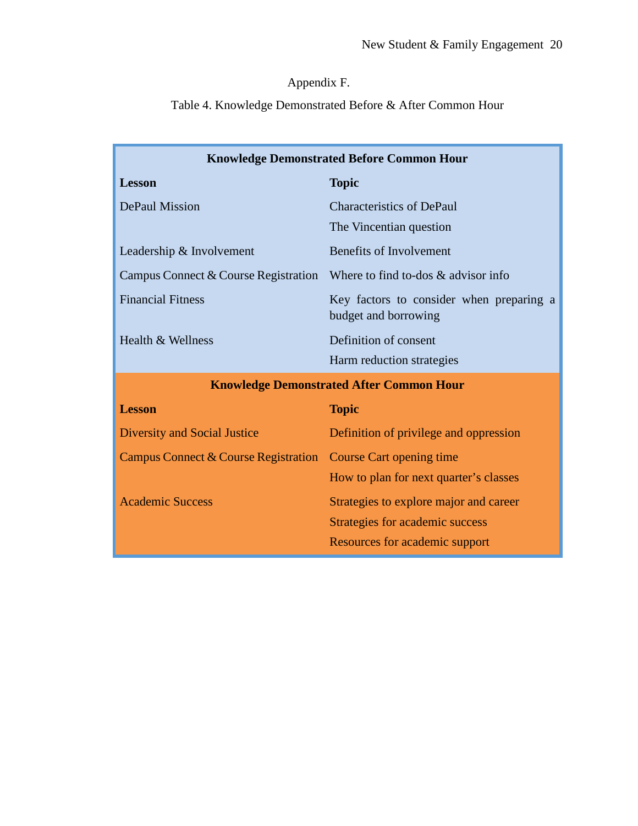# Appendix F.

# Table 4. Knowledge Demonstrated Before & After Common Hour

| <b>Knowledge Demonstrated Before Common Hour</b> |                                                                   |  |  |
|--------------------------------------------------|-------------------------------------------------------------------|--|--|
| <b>Lesson</b>                                    | <b>Topic</b>                                                      |  |  |
| <b>DePaul Mission</b>                            | <b>Characteristics of DePaul</b>                                  |  |  |
|                                                  | The Vincentian question                                           |  |  |
| Leadership & Involvement                         | <b>Benefits of Involvement</b>                                    |  |  |
| Campus Connect & Course Registration             | Where to find to-dos $&$ advisor info                             |  |  |
| <b>Financial Fitness</b>                         | Key factors to consider when preparing a<br>budget and borrowing  |  |  |
| Health & Wellness                                | Definition of consent                                             |  |  |
|                                                  | Harm reduction strategies                                         |  |  |
|                                                  | <b>Knowledge Demonstrated After Common Hour</b>                   |  |  |
| <b>Lesson</b>                                    |                                                                   |  |  |
|                                                  | <b>Topic</b>                                                      |  |  |
| <b>Diversity and Social Justice</b>              | Definition of privilege and oppression                            |  |  |
| Campus Connect & Course Registration             | <b>Course Cart opening time</b>                                   |  |  |
|                                                  | How to plan for next quarter's classes                            |  |  |
| <b>Academic Success</b>                          | Strategies to explore major and career                            |  |  |
|                                                  | Strategies for academic success<br>Resources for academic support |  |  |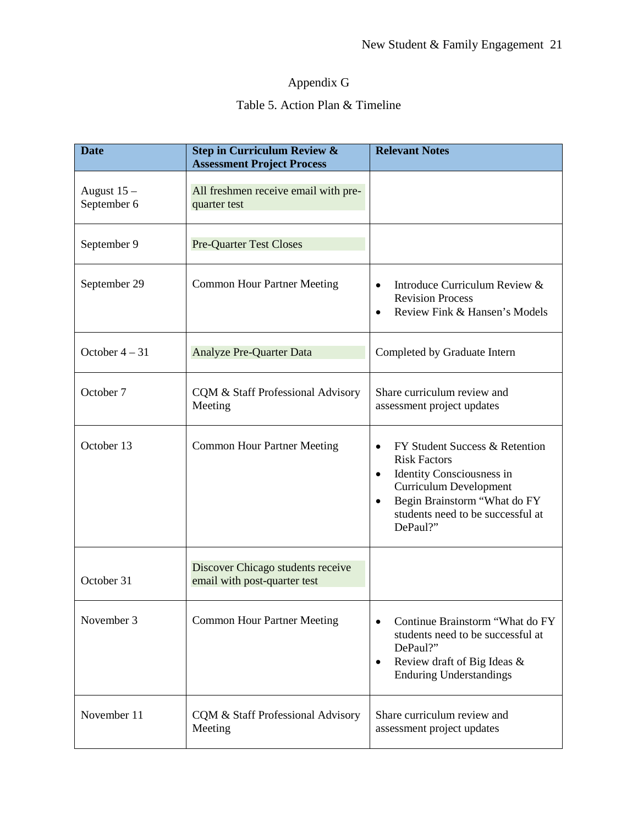# Appendix G

# Table 5. Action Plan & Timeline

| <b>Date</b>                 | <b>Step in Curriculum Review &amp;</b><br><b>Assessment Project Process</b> | <b>Relevant Notes</b>                                                                                                                                                                                                                              |
|-----------------------------|-----------------------------------------------------------------------------|----------------------------------------------------------------------------------------------------------------------------------------------------------------------------------------------------------------------------------------------------|
| August $15-$<br>September 6 | All freshmen receive email with pre-<br>quarter test                        |                                                                                                                                                                                                                                                    |
| September 9                 | <b>Pre-Quarter Test Closes</b>                                              |                                                                                                                                                                                                                                                    |
| September 29                | <b>Common Hour Partner Meeting</b>                                          | Introduce Curriculum Review &<br>$\bullet$<br><b>Revision Process</b><br>Review Fink & Hansen's Models                                                                                                                                             |
| October $4-31$              | <b>Analyze Pre-Quarter Data</b>                                             | Completed by Graduate Intern                                                                                                                                                                                                                       |
| October 7                   | CQM & Staff Professional Advisory<br>Meeting                                | Share curriculum review and<br>assessment project updates                                                                                                                                                                                          |
| October 13                  | <b>Common Hour Partner Meeting</b>                                          | FY Student Success & Retention<br>$\bullet$<br><b>Risk Factors</b><br><b>Identity Consciousness in</b><br>$\bullet$<br><b>Curriculum Development</b><br>Begin Brainstorm "What do FY<br>$\bullet$<br>students need to be successful at<br>DePaul?" |
| October 31                  | Discover Chicago students receive<br>email with post-quarter test           |                                                                                                                                                                                                                                                    |
| November 3                  | <b>Common Hour Partner Meeting</b>                                          | Continue Brainstorm "What do FY<br>$\bullet$<br>students need to be successful at<br>DePaul?"<br>Review draft of Big Ideas &<br>$\bullet$<br><b>Enduring Understandings</b>                                                                        |
| November 11                 | CQM & Staff Professional Advisory<br>Meeting                                | Share curriculum review and<br>assessment project updates                                                                                                                                                                                          |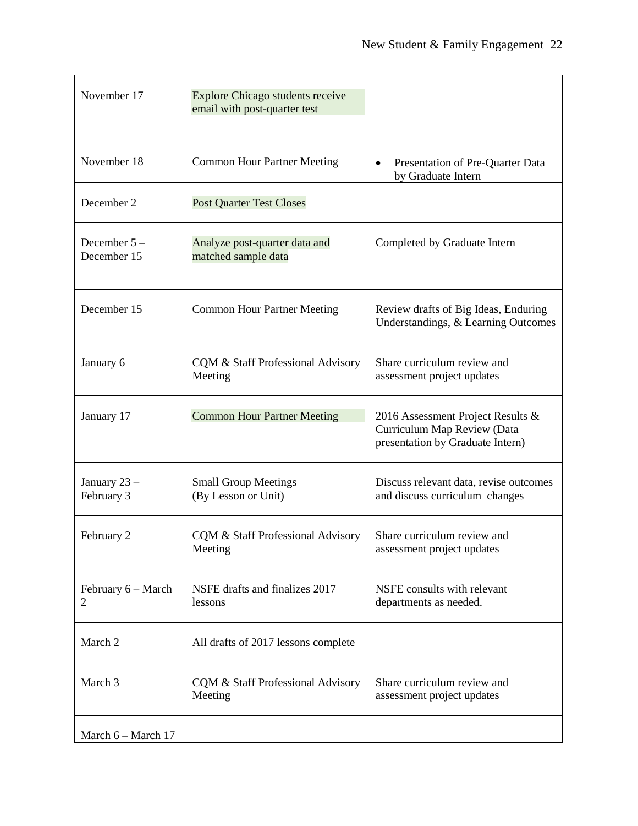| November 17                          | <b>Explore Chicago students receive</b><br>email with post-quarter test |                                                                                                      |
|--------------------------------------|-------------------------------------------------------------------------|------------------------------------------------------------------------------------------------------|
| November 18                          | <b>Common Hour Partner Meeting</b>                                      | Presentation of Pre-Quarter Data<br>$\bullet$<br>by Graduate Intern                                  |
| December 2                           | <b>Post Quarter Test Closes</b>                                         |                                                                                                      |
| December $5 -$<br>December 15        | Analyze post-quarter data and<br>matched sample data                    | Completed by Graduate Intern                                                                         |
| December 15                          | <b>Common Hour Partner Meeting</b>                                      | Review drafts of Big Ideas, Enduring<br>Understandings, & Learning Outcomes                          |
| January 6                            | CQM & Staff Professional Advisory<br>Meeting                            | Share curriculum review and<br>assessment project updates                                            |
| January 17                           | <b>Common Hour Partner Meeting</b>                                      | 2016 Assessment Project Results &<br>Curriculum Map Review (Data<br>presentation by Graduate Intern) |
| January 23 -<br>February 3           | <b>Small Group Meetings</b><br>(By Lesson or Unit)                      | Discuss relevant data, revise outcomes<br>and discuss curriculum changes                             |
| February 2                           | CQM & Staff Professional Advisory<br>Meeting                            | Share curriculum review and<br>assessment project updates                                            |
| February 6 – March<br>$\overline{2}$ | NSFE drafts and finalizes 2017<br>lessons                               | NSFE consults with relevant<br>departments as needed.                                                |
| March 2                              | All drafts of 2017 lessons complete                                     |                                                                                                      |
| March 3                              | CQM & Staff Professional Advisory<br>Meeting                            | Share curriculum review and<br>assessment project updates                                            |
| March 6 - March 17                   |                                                                         |                                                                                                      |